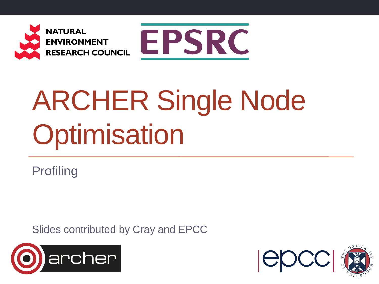



# ARCHER Single Node **Optimisation**

Profiling

Slides contributed by Cray and EPCC



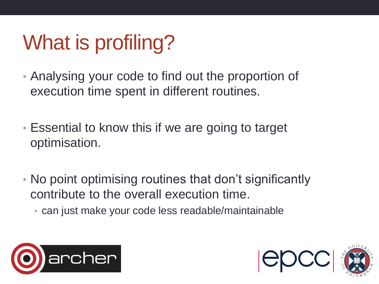# What is profiling?

- Analysing your code to find out the proportion of execution time spent in different routines.
- Essential to know this if we are going to target optimisation.
- No point optimising routines that don't significantly contribute to the overall execution time.
	- can just make your code less readable/maintainable



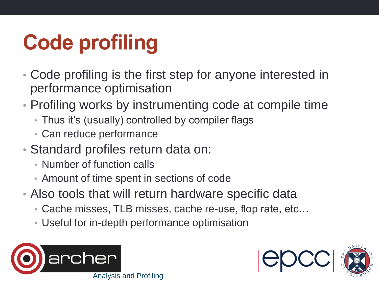# **Code profiling**

- Code profiling is the first step for anyone interested in performance optimisation
- Profiling works by instrumenting code at compile time
	- Thus it's (usually) controlled by compiler flags
	- Can reduce performance
- Standard profiles return data on:
	- Number of function calls
	- Amount of time spent in sections of code
- Also tools that will return hardware specific data
	- Cache misses, TLB misses, cache re-use, flop rate, etc…
	- Useful for in-depth performance optimisation



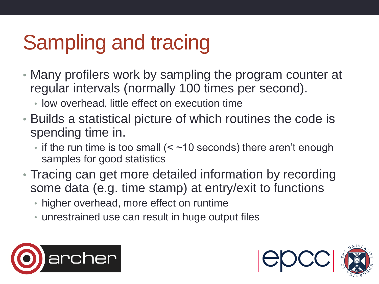# Sampling and tracing

- Many profilers work by sampling the program counter at regular intervals (normally 100 times per second).
	- low overhead, little effect on execution time
- Builds a statistical picture of which routines the code is spending time in.
	- if the run time is too small  $($   $\le$   $\sim$  10 seconds) there aren't enough samples for good statistics
- Tracing can get more detailed information by recording some data (e.g. time stamp) at entry/exit to functions
	- higher overhead, more effect on runtime
	- unrestrained use can result in huge output files



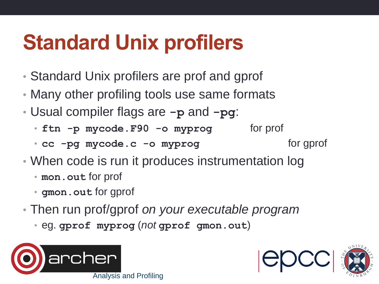# **Standard Unix profilers**

- Standard Unix profilers are prof and gprof
- Many other profiling tools use same formats
- Usual compiler flags are **-p** and **-pg**:
	- ftn -p mycode.F90 -o myprog for prof
	- **cc** -pg mycode.c -o myprog for gprof
- When code is run it produces instrumentation log
	- **mon.out** for prof
	- **gmon.out** for gprof
- Then run prof/gprof *on your executable program*
	- eg. **gprof myprog** (*not* **gprof gmon.out**)



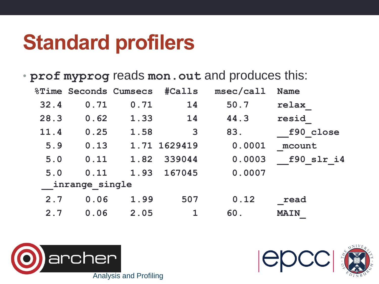#### **Standard profilers**

• **prof myprog** reads **mon.out** and produces this:

|                |      | <b>&amp;Time Seconds Cumsecs</b> | <b>#Calls</b> | msec/call | <b>Name</b> |
|----------------|------|----------------------------------|---------------|-----------|-------------|
| 32.4           | 0.71 | 0.71                             | 14            | 50.7      | relax       |
| 28.3           | 0.62 | 1.33                             | 14            | 44.3      | resid       |
| 11.4           | 0.25 | 1.58                             | $\mathbf{3}$  | 83.       | f90 close   |
| 5.9            | 0.13 |                                  | 1.71 1629419  | 0.0001    | mcount      |
| 5.0            | 0.11 | 1.82                             | 339044        | 0.0003    | f90 slr i4  |
| 5.0            | 0.11 |                                  | 1.93 167045   | 0.0007    |             |
| inrange single |      |                                  |               |           |             |
| 2.7            | 0.06 | 1.99                             | 507           | 0.12      | read        |
| 2.7            | 0.06 | 2.05                             |               | 60.       | <b>MAIN</b> |



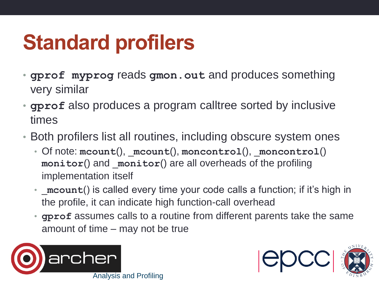# **Standard profilers**

- **gprof myprog** reads **gmon.out** and produces something very similar
- **gprof** also produces a program calltree sorted by inclusive times
- Both profilers list all routines, including obscure system ones
	- Of note: **mcount**(), \_**mcount**(), **moncontrol**(), \_**moncontrol**() **monitor**() and \_**monitor**() are all overheads of the profiling implementation itself
	- \_**mcount**() is called every time your code calls a function; if it's high in the profile, it can indicate high function-call overhead
	- **gprof** assumes calls to a routine from different parents take the same amount of time – may not be true



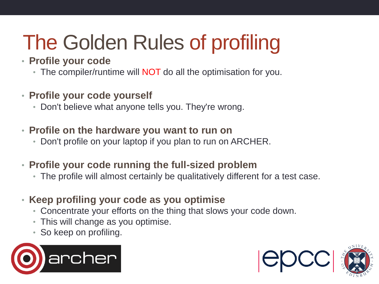# The Golden Rules of profiling

#### • **Profile your code**

- The compiler/runtime will **NOT** do all the optimisation for you.
- **Profile your code yourself**
	- Don't believe what anyone tells you. They're wrong.
- **Profile on the hardware you want to run on**
	- Don't profile on your laptop if you plan to run on ARCHER.
- **Profile your code running the full-sized problem**
	- The profile will almost certainly be qualitatively different for a test case.
- **Keep profiling your code as you optimise**
	- Concentrate your efforts on the thing that slows your code down.
	- This will change as you optimise.
	- So keep on profiling.



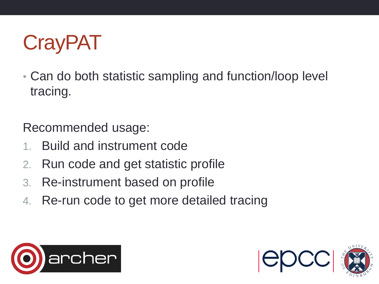

• Can do both statistic sampling and function/loop level tracing.

Recommended usage:

- 1. Build and instrument code
- 2. Run code and get statistic profile
- 3. Re-instrument based on profile
- 4. Re-run code to get more detailed tracing



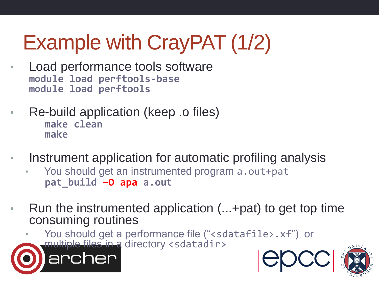# Example with CrayPAT (1/2)

- Load performance tools software **module load perftools-base module load perftools**
- Re-build application (keep .o files) **make clean make**
- Instrument application for automatic profiling analysis
	- You should get an instrumented program a.out+pat **pat\_build –O apa a.out**
- Run the instrumented application (...+pat) to get top time consuming routines

You should get a performance file ("<sdatafile>.xf") or multiple files in a directory <sdatadir>



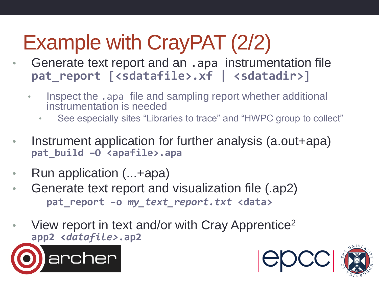# Example with CrayPAT (2/2)

- Generate text report and an .apa instrumentation file pat report  $\left[$ <sdatafile>.xf  $\left|$  <sdatadir>]
	- Inspect the .apa file and sampling report whether additional instrumentation is needed
		- See especially sites "Libraries to trace" and "HWPC group to collect"
- Instrument application for further analysis (a.out+apa) **pat\_build –O <apafile>.apa**
- Run application (...+apa)
- Generate text report and visualization file (.ap2) **pat\_report –o** *my\_text\_report.txt* **<data>**
- View report in text and/or with Cray Apprentice<sup>2</sup> **app2 <***datafile>***.ap2**



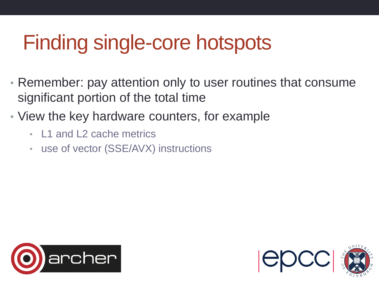### Finding single-core hotspots

- Remember: pay attention only to user routines that consume significant portion of the total time
- View the key hardware counters, for example
	- L<sub>1</sub> and L<sub>2</sub> cache metrics
	- use of vector (SSE/AVX) instructions



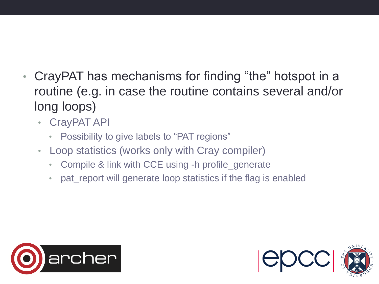- CrayPAT has mechanisms for finding "the" hotspot in a routine (e.g. in case the routine contains several and/or long loops)
	- CrayPAT API
		- Possibility to give labels to "PAT regions"
	- Loop statistics (works only with Cray compiler)
		- Compile & link with CCE using -h profile\_generate
		- pat\_report will generate loop statistics if the flag is enabled



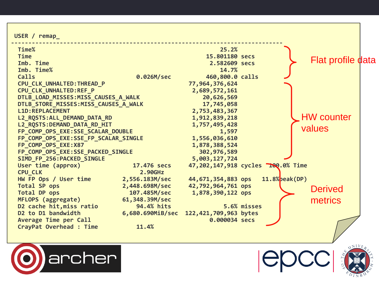**USER / remap\_**

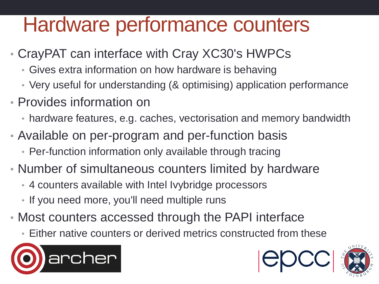#### Hardware performance counters

- CrayPAT can interface with Cray XC30's HWPCs
	- Gives extra information on how hardware is behaving
	- Very useful for understanding (& optimising) application performance
- Provides information on
	- hardware features, e.g. caches, vectorisation and memory bandwidth
- Available on per-program and per-function basis
	- Per-function information only available through tracing
- Number of simultaneous counters limited by hardware
	- 4 counters available with Intel Ivybridge processors
	- If you need more, you'll need multiple runs
- Most counters accessed through the PAPI interface
	- Either native counters or derived metrics constructed from these



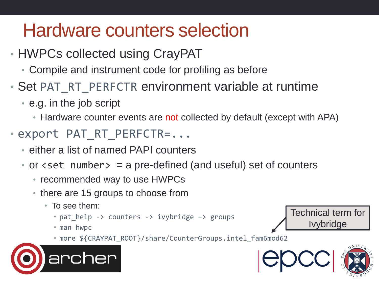#### Hardware counters selection

- HWPCs collected using CrayPAT
	- Compile and instrument code for profiling as before
- Set PAT\_RT\_PERFCTR environment variable at runtime
	- e.g. in the job script
		- Hardware counter events are not collected by default (except with APA)
- export PAT\_RT\_PERFCTR=...
	- either a list of named PAPI counters
	- or  $\leq$  set number  $>$  = a pre-defined (and useful) set of counters
		- recommended way to use HWPCs
		- there are 15 groups to choose from
			- To see them:
				- pat\_help -> counters -> ivybridge -> groups
				- man hwpc
				- more \${CRAYPAT ROOT}/share/CounterGroups.intel fam6mod62





Technical term for

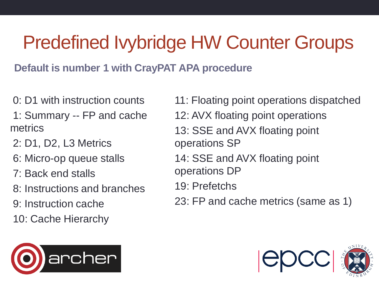#### Predefined Ivybridge HW Counter Groups

**Default is number 1 with CrayPAT APA procedure**

- 0: D1 with instruction counts
- 1: Summary -- FP and cache metrics
- 2: D1, D2, L3 Metrics
- 6: Micro-op queue stalls
- 7: Back end stalls
- 8: Instructions and branches
- 9: Instruction cache
- 10: Cache Hierarchy



11: Floating point operations dispatched 12: AVX floating point operations 13: SSE and AVX floating point operations SP 14: SSE and AVX floating point operations DP 19: Prefetchs

23: FP and cache metrics (same as 1)

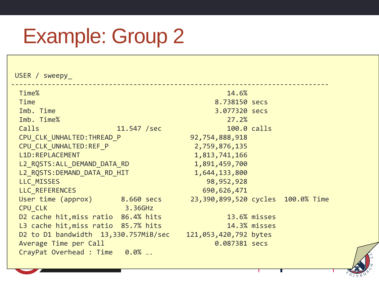#### Example: Group 2

USER / sweepy

------------------------------------------------------------------------------ Time% and the contract of the contract of the contract of the contract of the contract of the contract of the contract of the contract of the contract of the contract of the contract of the contract of the contract of the Time 8.738150 secs **Imb.** Time 3.077320 secs Imb. Time% 27.2% Calls 11.547 /sec 100.0 calls CPU CLK UNHALTED:THREAD P 92,754,888,918 CPU CLK UNHALTED:REF P 2,759,876,135 L1D:REPLACEMENT 1,813,741,166 L2 RQSTS:ALL DEMAND DATA RD 1,891,459,700 L2 ROSTS:DEMAND DATA RD HIT 1,644,133,800 LLC\_MISSES 98,952,928 LLC REFERENCES 690,626,471 User time (approx) 8.660 secs 23,390,899,520 cycles 100.0% Time CPU CLK 3.36GHz D2 cache hit, miss ratio 86.4% hits 13.6% misses L3 cache hit, miss ratio 85.7% hits 14.3% misses D2 to D1 bandwidth 13,330.757MiB/sec 121,053,420,792 bytes Average Time per Call **0.087381** secs CrayPat Overhead : Time 0.0% **….**

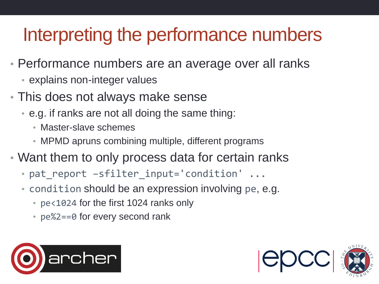#### Interpreting the performance numbers

- Performance numbers are an average over all ranks
	- explains non-integer values
- This does not always make sense
	- e.g. if ranks are not all doing the same thing:
		- Master-slave schemes
		- MPMD apruns combining multiple, different programs
- Want them to only process data for certain ranks
	- pat\_report -sfilter\_input='condition' ...
	- condition should be an expression involving pe, e.g.
		- pe<1024 for the first 1024 ranks only
		- pe%2==0 for every second rank



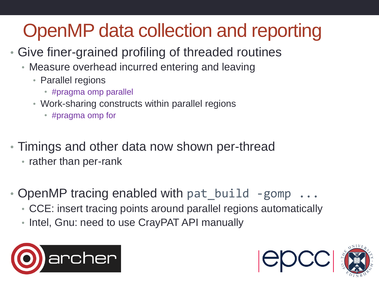#### OpenMP data collection and reporting

- Give finer-grained profiling of threaded routines
	- Measure overhead incurred entering and leaving
		- Parallel regions
			- #pragma omp parallel
		- Work-sharing constructs within parallel regions
			- #pragma omp for
- Timings and other data now shown per-thread
	- rather than per-rank
- OpenMP tracing enabled with pat build -gomp  $\dots$ 
	- CCE: insert tracing points around parallel regions automatically
	- Intel, Gnu: need to use CrayPAT API manually



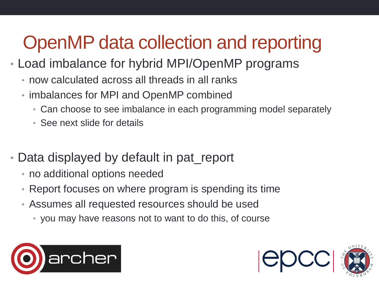#### OpenMP data collection and reporting

- Load imbalance for hybrid MPI/OpenMP programs
	- now calculated across all threads in all ranks
	- imbalances for MPI and OpenMP combined
		- Can choose to see imbalance in each programming model separately
		- See next slide for details
- Data displayed by default in pat\_report
	- no additional options needed
	- Report focuses on where program is spending its time
	- Assumes all requested resources should be used
		- you may have reasons not to want to do this, of course



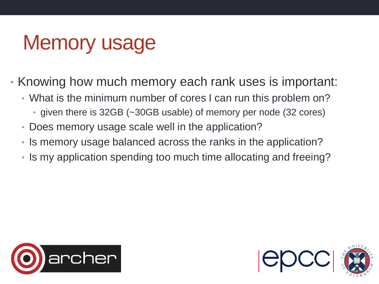#### Memory usage

- Knowing how much memory each rank uses is important:
	- What is the minimum number of cores I can run this problem on?
		- given there is 32GB (~30GB usable) of memory per node (32 cores)
	- Does memory usage scale well in the application?
	- Is memory usage balanced across the ranks in the application?
	- Is my application spending too much time allocating and freeing?



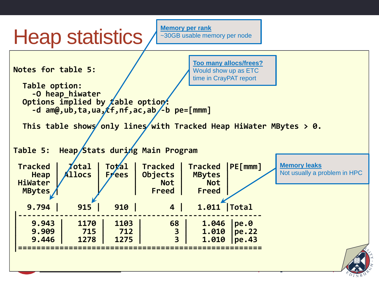